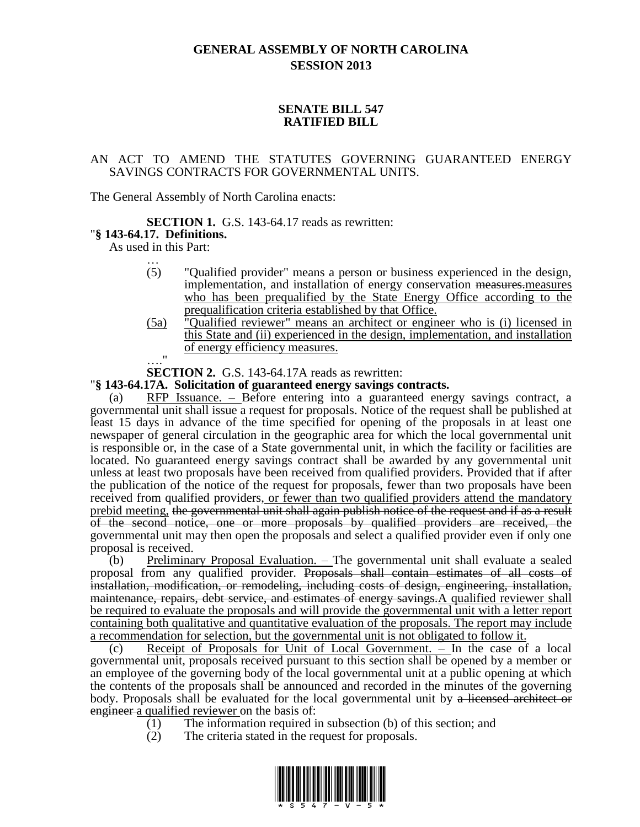# **GENERAL ASSEMBLY OF NORTH CAROLINA SESSION 2013**

## **SENATE BILL 547 RATIFIED BILL**

### AN ACT TO AMEND THE STATUTES GOVERNING GUARANTEED ENERGY SAVINGS CONTRACTS FOR GOVERNMENTAL UNITS.

The General Assembly of North Carolina enacts:

### **SECTION 1.** G.S. 143-64.17 reads as rewritten:

# "**§ 143-64.17. Definitions.**

As used in this Part: …

- (5) "Qualified provider" means a person or business experienced in the design, implementation, and installation of energy conservation measures. measures who has been prequalified by the State Energy Office according to the prequalification criteria established by that Office.
- (5a) "Qualified reviewer" means an architect or engineer who is (i) licensed in this State and (ii) experienced in the design, implementation, and installation of energy efficiency measures.
- …."

**SECTION 2.** G.S. 143-64.17A reads as rewritten:

### "**§ 143-64.17A. Solicitation of guaranteed energy savings contracts.**

(a) RFP Issuance. – Before entering into a guaranteed energy savings contract, a governmental unit shall issue a request for proposals. Notice of the request shall be published at least 15 days in advance of the time specified for opening of the proposals in at least one newspaper of general circulation in the geographic area for which the local governmental unit is responsible or, in the case of a State governmental unit, in which the facility or facilities are located. No guaranteed energy savings contract shall be awarded by any governmental unit unless at least two proposals have been received from qualified providers. Provided that if after the publication of the notice of the request for proposals, fewer than two proposals have been received from qualified providers, or fewer than two qualified providers attend the mandatory prebid meeting, the governmental unit shall again publish notice of the request and if as a result of the second notice, one or more proposals by qualified providers are received, the governmental unit may then open the proposals and select a qualified provider even if only one proposal is received.

(b) Preliminary Proposal Evaluation. – The governmental unit shall evaluate a sealed proposal from any qualified provider. Proposals shall contain estimates of all costs of installation, modification, or remodeling, including costs of design, engineering, installation, maintenance, repairs, debt service, and estimates of energy savings.A qualified reviewer shall be required to evaluate the proposals and will provide the governmental unit with a letter report containing both qualitative and quantitative evaluation of the proposals. The report may include a recommendation for selection, but the governmental unit is not obligated to follow it.

(c) Receipt of Proposals for Unit of Local Government. – In the case of a local governmental unit, proposals received pursuant to this section shall be opened by a member or an employee of the governing body of the local governmental unit at a public opening at which the contents of the proposals shall be announced and recorded in the minutes of the governing body. Proposals shall be evaluated for the local governmental unit by a licensed architect or engineer a qualified reviewer on the basis of:

- (1) The information required in subsection (b) of this section; and
- (2) The criteria stated in the request for proposals.

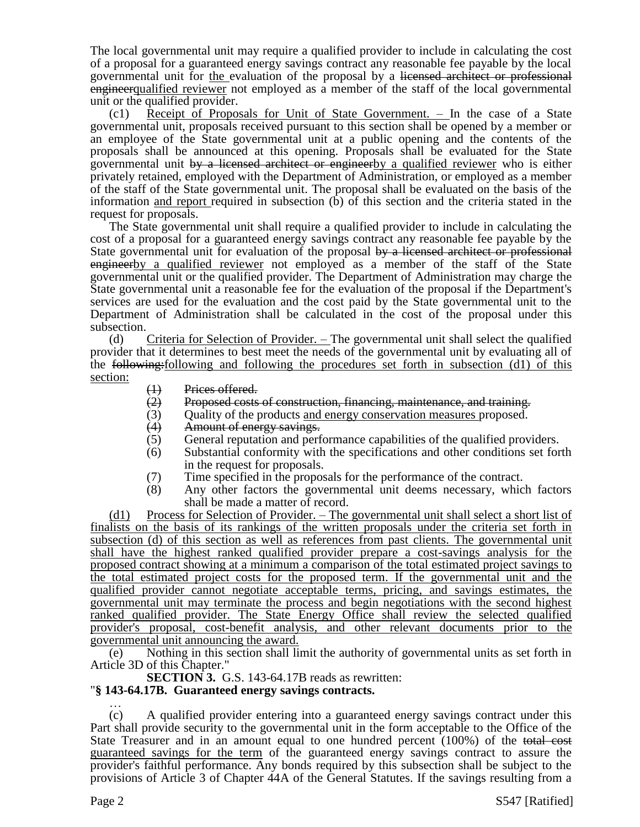The local governmental unit may require a qualified provider to include in calculating the cost of a proposal for a guaranteed energy savings contract any reasonable fee payable by the local governmental unit for the evaluation of the proposal by a licensed architect or professional engineerqualified reviewer not employed as a member of the staff of the local governmental unit or the qualified provider.

(c1) Receipt of Proposals for Unit of State Government. – In the case of a State governmental unit, proposals received pursuant to this section shall be opened by a member or an employee of the State governmental unit at a public opening and the contents of the proposals shall be announced at this opening. Proposals shall be evaluated for the State governmental unit by a licensed architect or engineerby a qualified reviewer who is either privately retained, employed with the Department of Administration, or employed as a member of the staff of the State governmental unit. The proposal shall be evaluated on the basis of the information and report required in subsection (b) of this section and the criteria stated in the request for proposals.

The State governmental unit shall require a qualified provider to include in calculating the cost of a proposal for a guaranteed energy savings contract any reasonable fee payable by the State governmental unit for evaluation of the proposal by a licensed architect or professional engineerby a qualified reviewer not employed as a member of the staff of the State governmental unit or the qualified provider. The Department of Administration may charge the State governmental unit a reasonable fee for the evaluation of the proposal if the Department's services are used for the evaluation and the cost paid by the State governmental unit to the Department of Administration shall be calculated in the cost of the proposal under this subsection.

(d) Criteria for Selection of Provider. – The governmental unit shall select the qualified provider that it determines to best meet the needs of the governmental unit by evaluating all of the following:following and following the procedures set forth in subsection (d1) of this section:

- 
- $\begin{array}{ll}\n\text{(1)} & \text{Prices offered.} \\
\text{(2)} & \text{Proposed costs}\n\end{array}$  $(2)$  Proposed costs of construction, financing, maintenance, and training.<br>(3) Ouality of the products and energy conservation measures proposed.
- (3) Quality of the products <u>and energy conservation measures</u> proposed.<br>(4) Amount of energy savings.
- (4) Amount of energy savings.<br>(5) General reputation and perf
- General reputation and performance capabilities of the qualified providers.
- (6) Substantial conformity with the specifications and other conditions set forth in the request for proposals.
- (7) Time specified in the proposals for the performance of the contract.<br>(8) Any other factors the governmental unit deems necessary, which
- Any other factors the governmental unit deems necessary, which factors shall be made a matter of record.

(d1) Process for Selection of Provider. – The governmental unit shall select a short list of finalists on the basis of its rankings of the written proposals under the criteria set forth in subsection (d) of this section as well as references from past clients. The governmental unit shall have the highest ranked qualified provider prepare a cost-savings analysis for the proposed contract showing at a minimum a comparison of the total estimated project savings to the total estimated project costs for the proposed term. If the governmental unit and the qualified provider cannot negotiate acceptable terms, pricing, and savings estimates, the governmental unit may terminate the process and begin negotiations with the second highest ranked qualified provider. The State Energy Office shall review the selected qualified provider's proposal, cost-benefit analysis, and other relevant documents prior to the governmental unit announcing the award.

(e) Nothing in this section shall limit the authority of governmental units as set forth in Article 3D of this Chapter."

**SECTION 3.** G.S. 143-64.17B reads as rewritten:

### "**§ 143-64.17B. Guaranteed energy savings contracts.** …

(c) A qualified provider entering into a guaranteed energy savings contract under this Part shall provide security to the governmental unit in the form acceptable to the Office of the State Treasurer and in an amount equal to one hundred percent (100%) of the total cost guaranteed savings for the term of the guaranteed energy savings contract to assure the provider's faithful performance. Any bonds required by this subsection shall be subject to the provisions of Article 3 of Chapter 44A of the General Statutes. If the savings resulting from a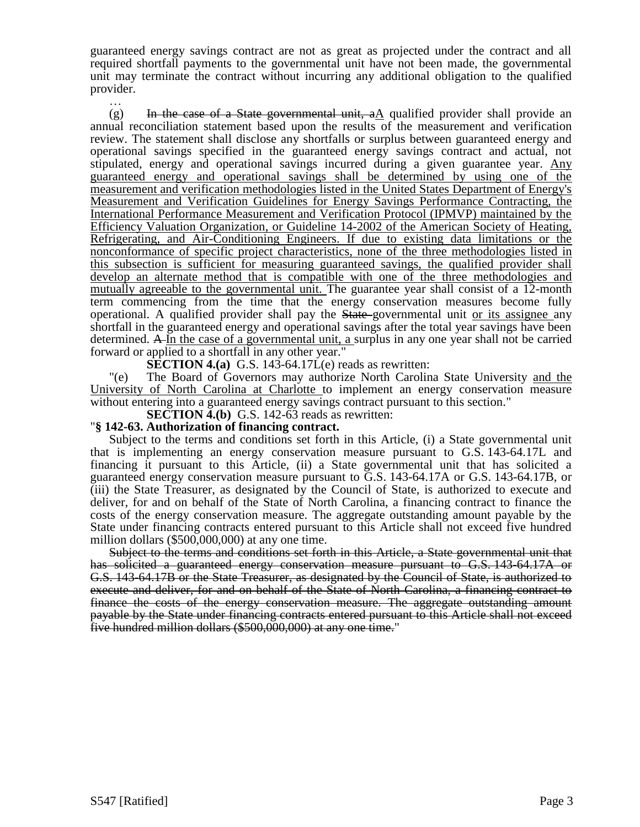guaranteed energy savings contract are not as great as projected under the contract and all required shortfall payments to the governmental unit have not been made, the governmental unit may terminate the contract without incurring any additional obligation to the qualified provider.

…  $(g)$  In the case of a State governmental unit, aA qualified provider shall provide an annual reconciliation statement based upon the results of the measurement and verification review. The statement shall disclose any shortfalls or surplus between guaranteed energy and operational savings specified in the guaranteed energy savings contract and actual, not stipulated, energy and operational savings incurred during a given guarantee year. Any guaranteed energy and operational savings shall be determined by using one of the measurement and verification methodologies listed in the United States Department of Energy's Measurement and Verification Guidelines for Energy Savings Performance Contracting, the International Performance Measurement and Verification Protocol (IPMVP) maintained by the Efficiency Valuation Organization, or Guideline 14-2002 of the American Society of Heating, Refrigerating, and Air-Conditioning Engineers. If due to existing data limitations or the nonconformance of specific project characteristics, none of the three methodologies listed in this subsection is sufficient for measuring guaranteed savings, the qualified provider shall develop an alternate method that is compatible with one of the three methodologies and mutually agreeable to the governmental unit. The guarantee year shall consist of a 12-month term commencing from the time that the energy conservation measures become fully operational. A qualified provider shall pay the State governmental unit or its assignee any shortfall in the guaranteed energy and operational savings after the total year savings have been determined. A In the case of a governmental unit, a surplus in any one year shall not be carried forward or applied to a shortfall in any other year."

**SECTION 4.(a)** G.S. 143-64.17L(e) reads as rewritten:

"(e) The Board of Governors may authorize North Carolina State University and the University of North Carolina at Charlotte to implement an energy conservation measure without entering into a guaranteed energy savings contract pursuant to this section."

**SECTION 4.(b)** G.S. 142-63 reads as rewritten:

#### "**§ 142-63. Authorization of financing contract.**

Subject to the terms and conditions set forth in this Article, (i) a State governmental unit that is implementing an energy conservation measure pursuant to G.S. 143-64.17L and financing it pursuant to this Article, (ii) a State governmental unit that has solicited a guaranteed energy conservation measure pursuant to G.S. 143-64.17A or G.S. 143-64.17B, or (iii) the State Treasurer, as designated by the Council of State, is authorized to execute and deliver, for and on behalf of the State of North Carolina, a financing contract to finance the costs of the energy conservation measure. The aggregate outstanding amount payable by the State under financing contracts entered pursuant to this Article shall not exceed five hundred million dollars (\$500,000,000) at any one time.

Subject to the terms and conditions set forth in this Article, a State governmental unit that has solicited a guaranteed energy conservation measure pursuant to G.S. 143-64.17A or G.S. 143-64.17B or the State Treasurer, as designated by the Council of State, is authorized to execute and deliver, for and on behalf of the State of North Carolina, a financing contract to finance the costs of the energy conservation measure. The aggregate outstanding amount payable by the State under financing contracts entered pursuant to this Article shall not exceed five hundred million dollars (\$500,000,000) at any one time."